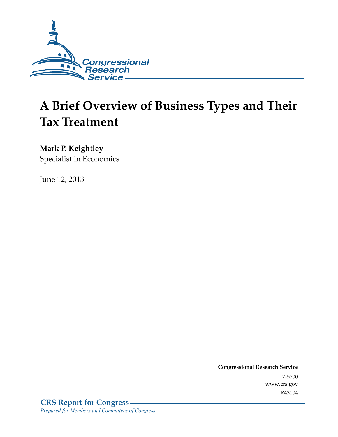

# **A Brief Overview of Business Types and Their Tax Treatment**

#### **Mark P. Keightley**

Specialist in Economics

June 12, 2013

**Congressional Research Service**  7-5700 www.crs.gov R43104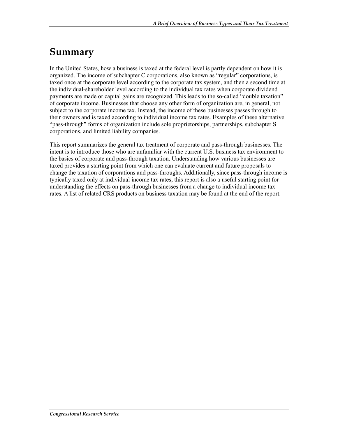### **Summary**

In the United States, how a business is taxed at the federal level is partly dependent on how it is organized. The income of subchapter C corporations, also known as "regular" corporations, is taxed once at the corporate level according to the corporate tax system, and then a second time at the individual-shareholder level according to the individual tax rates when corporate dividend payments are made or capital gains are recognized. This leads to the so-called "double taxation" of corporate income. Businesses that choose any other form of organization are, in general, not subject to the corporate income tax. Instead, the income of these businesses passes through to their owners and is taxed according to individual income tax rates. Examples of these alternative "pass-through" forms of organization include sole proprietorships, partnerships, subchapter S corporations, and limited liability companies.

This report summarizes the general tax treatment of corporate and pass-through businesses. The intent is to introduce those who are unfamiliar with the current U.S. business tax environment to the basics of corporate and pass-through taxation. Understanding how various businesses are taxed provides a starting point from which one can evaluate current and future proposals to change the taxation of corporations and pass-throughs. Additionally, since pass-through income is typically taxed only at individual income tax rates, this report is also a useful starting point for understanding the effects on pass-through businesses from a change to individual income tax rates. A list of related CRS products on business taxation may be found at the end of the report.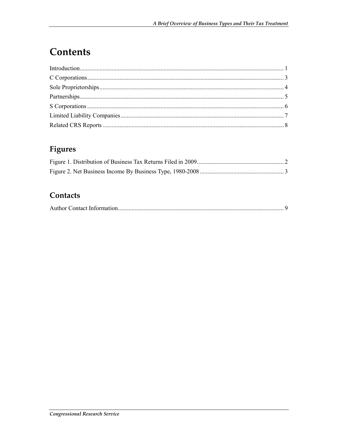# **Contents**

#### Figures

#### Contacts

|--|--|--|--|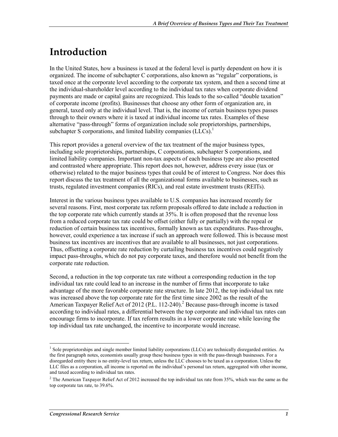### **Introduction**

In the United States, how a business is taxed at the federal level is partly dependent on how it is organized. The income of subchapter C corporations, also known as "regular" corporations, is taxed once at the corporate level according to the corporate tax system, and then a second time at the individual-shareholder level according to the individual tax rates when corporate dividend payments are made or capital gains are recognized. This leads to the so-called "double taxation" of corporate income (profits). Businesses that choose any other form of organization are, in general, taxed only at the individual level. That is, the income of certain business types passes through to their owners where it is taxed at individual income tax rates. Examples of these alternative "pass-through" forms of organization include sole proprietorships, partnerships, subchapter S corporations, and limited liability companies  $(LLCs)$ .<sup>1</sup>

This report provides a general overview of the tax treatment of the major business types, including sole proprietorships, partnerships, C corporations, subchapter S corporations, and limited liability companies. Important non-tax aspects of each business type are also presented and contrasted where appropriate. This report does not, however, address every issue (tax or otherwise) related to the major business types that could be of interest to Congress. Nor does this report discuss the tax treatment of all the organizational forms available to businesses, such as trusts, regulated investment companies (RICs), and real estate investment trusts (REITs).

Interest in the various business types available to U.S. companies has increased recently for several reasons. First, most corporate tax reform proposals offered to date include a reduction in the top corporate rate which currently stands at 35%. It is often proposed that the revenue loss from a reduced corporate tax rate could be offset (either fully or partially) with the repeal or reduction of certain business tax incentives, formally known as tax expenditures. Pass-throughs, however, could experience a tax increase if such an approach were followed. This is because most business tax incentives are incentives that are available to all businesses, not just corporations. Thus, offsetting a corporate rate reduction by curtailing business tax incentives could negatively impact pass-throughs, which do not pay corporate taxes, and therefore would not benefit from the corporate rate reduction.

Second, a reduction in the top corporate tax rate without a corresponding reduction in the top individual tax rate could lead to an increase in the number of firms that incorporate to take advantage of the more favorable corporate rate structure. In late 2012, the top individual tax rate was increased above the top corporate rate for the first time since 2002 as the result of the American Taxpayer Relief Act of 2012 (P.L. 112-240).<sup>2</sup> Because pass-through income is taxed according to individual rates, a differential between the top corporate and individual tax rates can encourage firms to incorporate. If tax reform results in a lower corporate rate while leaving the top individual tax rate unchanged, the incentive to incorporate would increase.

The proprietorships and single member limited liability corporations (LLCs) are technically disregarded entities. As the first paragraph notes, economists usually group these business types in with the pass-through businesses. For a disregarded entity there is no entity-level tax return, unless the LLC chooses to be taxed as a corporation. Unless the LLC files as a corporation, all income is reported on the individual's personal tax return, aggregated with other income, and taxed according to individual tax rates.

<sup>&</sup>lt;sup>2</sup> The American Taxpayer Relief Act of 2012 increased the top individual tax rate from 35%, which was the same as the top corporate tax rate, to 39.6%.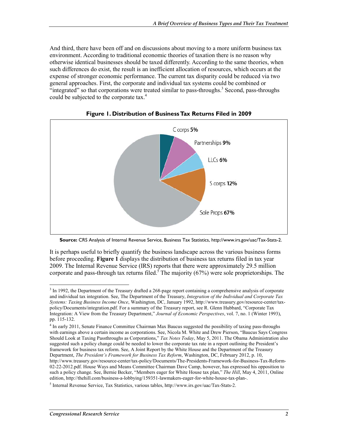And third, there have been off and on discussions about moving to a more uniform business tax environment. According to traditional economic theories of taxation there is no reason why otherwise identical businesses should be taxed differently. According to the same theories, when such differences do exist, the result is an inefficient allocation of resources, which occurs at the expense of stronger economic performance. The current tax disparity could be reduced via two general approaches. First, the corporate and individual tax systems could be combined or "integrated" so that corporations were treated similar to pass-throughs.<sup>3</sup> Second, pass-throughs could be subjected to the corporate tax.<sup>4</sup>



**Figure 1. Distribution of Business Tax Returns Filed in 2009** 

It is perhaps useful to briefly quantify the business landscape across the various business forms before proceeding. **Figure 1** displays the distribution of business tax returns filed in tax year 2009. The Internal Revenue Service (IRS) reports that there were approximately 29.5 million corporate and pass-through tax returns filed.<sup>5</sup> The majority (67%) were sole proprietorships. The

**Source:** CRS Analysis of Internal Revenue Service, Business Tax Statistics, http://www.irs.gov/uac/Tax-Stats-2.

<sup>&</sup>lt;sup>3</sup> In 1992, the Department of the Treasury drafted a 268-page report containing a comprehensive analysis of corporate and individual tax integration. See, The Department of the Treasury, *Integration of the Individual and Corporate Tax Systems: Taxing Business Income Once*, Washington, DC, January 1992, http://www.treasury.gov/resource-center/taxpolicy/Documents/integration.pdf. For a summary of the Treasury report, see R. Glenn Hubbard, "Corporate Tax Integration: A View from the Treasury Department," *Journal of Economic Perspectives*, vol. 7, no. 1 (Winter 1993), pp. 115-132.

<sup>&</sup>lt;sup>4</sup> In early 2011, Senate Finance Committee Chairman Max Baucus suggested the possibility of taxing pass-throughs with earnings above a certain income as corporations. See, Nicola M. White and Drew Pierson, "Baucus Says Congress" Should Look at Taxing Passthroughs as Corporations," *Tax Notes Today*, May 5, 2011. The Obama Administration also suggested such a policy change could be needed to lower the corporate tax rate in a report outlining the President's framework for business tax reform. See, A Joint Report by the White House and the Department of the Treasury Department, *The President's Framework for Business Tax Reform*, Washington, DC, February 2012, p. 10, http://www.treasury.gov/resource-center/tax-policy/Documents/The-Presidents-Framework-for-Business-Tax-Reform-02-22-2012.pdf. House Ways and Means Committee Chairman Dave Camp, however, has expressed his opposition to such a policy change. See, Bernie Becker, "Members eager for White House tax plan," *The Hill*, May 4, 2011, Online edition, http://thehill.com/business-a-lobbying/159351-lawmakers-eager-for-white-house-tax-plan-.

<sup>&</sup>lt;sup>5</sup> Internal Revenue Service, Tax Statistics, various tables, http://www.irs.gov/uac/Tax-Stats-2.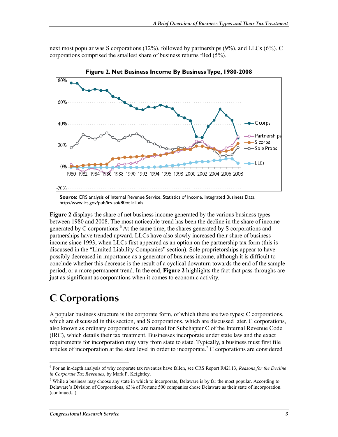next most popular was S corporations (12%), followed by partnerships (9%), and LLCs (6%). C corporations comprised the smallest share of business returns filed (5%).



**Figure 2. Net Business Income By Business Type, 1980-2008** 

**Source:** CRS analysis of Internal Revenue Service, Statistics of Income, Integrated Business Data, http://www.irs.gov/pub/irs-soi/80ot1all.xls.

**Figure 2** displays the share of net business income generated by the various business types between 1980 and 2008. The most noticeable trend has been the decline in the share of income generated by C corporations.<sup>6</sup> At the same time, the shares generated by S corporations and partnerships have trended upward. LLCs have also slowly increased their share of business income since 1993, when LLCs first appeared as an option on the partnership tax form (this is discussed in the "Limited Liability Companies" section). Sole proprietorships appear to have possibly decreased in importance as a generator of business income, although it is difficult to conclude whether this decrease is the result of a cyclical downturn towards the end of the sample period, or a more permanent trend. In the end, **Figure 2** highlights the fact that pass-throughs are just as significant as corporations when it comes to economic activity.

### **C Corporations**

A popular business structure is the corporate form, of which there are two types; C corporations, which are discussed in this section, and S corporations, which are discussed later. C corporations, also known as ordinary corporations, are named for Subchapter C of the Internal Revenue Code (IRC), which details their tax treatment. Businesses incorporate under state law and the exact requirements for incorporation may vary from state to state. Typically, a business must first file articles of incorporation at the state level in order to incorporate.<sup>7</sup> C corporations are considered

<sup>6</sup> For an in-depth analysis of why corporate tax revenues have fallen, see CRS Report R42113, *Reasons for the Decline in Corporate Tax Revenues*, by Mark P. Keightley.

<sup>&</sup>lt;sup>7</sup> While a business may choose any state in which to incorporate, Delaware is by far the most popular. According to Delaware's Division of Corporations, 63% of Fortune 500 companies chose Delaware as their state of incorporation. (continued...)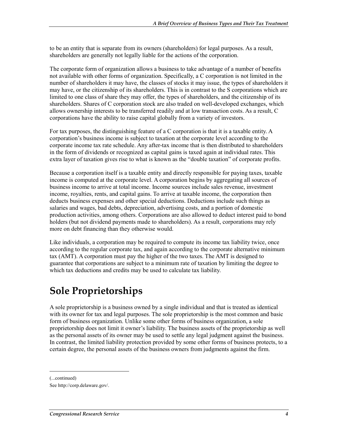to be an entity that is separate from its owners (shareholders) for legal purposes. As a result, shareholders are generally not legally liable for the actions of the corporation.

The corporate form of organization allows a business to take advantage of a number of benefits not available with other forms of organization. Specifically, a C corporation is not limited in the number of shareholders it may have, the classes of stocks it may issue, the types of shareholders it may have, or the citizenship of its shareholders. This is in contrast to the S corporations which are limited to one class of share they may offer, the types of shareholders, and the citizenship of its shareholders. Shares of C corporation stock are also traded on well-developed exchanges, which allows ownership interests to be transferred readily and at low transaction costs. As a result, C corporations have the ability to raise capital globally from a variety of investors.

For tax purposes, the distinguishing feature of a C corporation is that it is a taxable entity. A corporation's business income is subject to taxation at the corporate level according to the corporate income tax rate schedule. Any after-tax income that is then distributed to shareholders in the form of dividends or recognized as capital gains is taxed again at individual rates. This extra layer of taxation gives rise to what is known as the "double taxation" of corporate profits.

Because a corporation itself is a taxable entity and directly responsible for paying taxes, taxable income is computed at the corporate level. A corporation begins by aggregating all sources of business income to arrive at total income. Income sources include sales revenue, investment income, royalties, rents, and capital gains. To arrive at taxable income, the corporation then deducts business expenses and other special deductions. Deductions include such things as salaries and wages, bad debts, depreciation, advertising costs, and a portion of domestic production activities, among others. Corporations are also allowed to deduct interest paid to bond holders (but not dividend payments made to shareholders). As a result, corporations may rely more on debt financing than they otherwise would.

Like individuals, a corporation may be required to compute its income tax liability twice, once according to the regular corporate tax, and again according to the corporate alternative minimum tax (AMT). A corporation must pay the higher of the two taxes. The AMT is designed to guarantee that corporations are subject to a minimum rate of taxation by limiting the degree to which tax deductions and credits may be used to calculate tax liability.

### **Sole Proprietorships**

A sole proprietorship is a business owned by a single individual and that is treated as identical with its owner for tax and legal purposes. The sole proprietorship is the most common and basic form of business organization. Unlike some other forms of business organization, a sole proprietorship does not limit it owner's liability. The business assets of the proprietorship as well as the personal assets of its owner may be used to settle any legal judgment against the business. In contrast, the limited liability protection provided by some other forms of business protects, to a certain degree, the personal assets of the business owners from judgments against the firm.

<sup>(...</sup>continued)

See http://corp.delaware.gov/.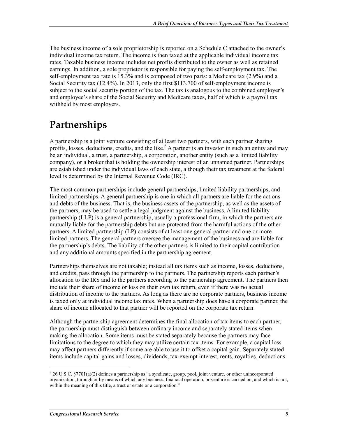The business income of a sole proprietorship is reported on a Schedule C attached to the owner's individual income tax return. The income is then taxed at the applicable individual income tax rates. Taxable business income includes net profits distributed to the owner as well as retained earnings. In addition, a sole proprietor is responsible for paying the self-employment tax. The self-employment tax rate is 15.3% and is composed of two parts: a Medicare tax (2.9%) and a Social Security tax (12.4%). In 2013, only the first \$113,700 of self-employment income is subject to the social security portion of the tax. The tax is analogous to the combined employer's and employee's share of the Social Security and Medicare taxes, half of which is a payroll tax withheld by most employers.

## **Partnerships**

A partnership is a joint venture consisting of at least two partners, with each partner sharing profits, losses, deductions, credits, and the like.<sup>8</sup> A partner is an investor in such an entity and may be an individual, a trust, a partnership, a corporation, another entity (such as a limited liability company), or a broker that is holding the ownership interest of an unnamed partner. Partnerships are established under the individual laws of each state, although their tax treatment at the federal level is determined by the Internal Revenue Code (IRC).

The most common partnerships include general partnerships, limited liability partnerships, and limited partnerships. A general partnership is one in which all partners are liable for the actions and debts of the business. That is, the business assets of the partnership, as well as the assets of the partners, may be used to settle a legal judgment against the business. A limited liability partnership (LLP) is a general partnership, usually a professional firm, in which the partners are mutually liable for the partnership debts but are protected from the harmful actions of the other partners. A limited partnership (LP) consists of at least one general partner and one or more limited partners. The general partners oversee the management of the business and are liable for the partnership's debts. The liability of the other partners is limited to their capital contribution and any additional amounts specified in the partnership agreement.

Partnerships themselves are not taxable; instead all tax items such as income, losses, deductions, and credits, pass through the partnership to the partners. The partnership reports each partner's allocation to the IRS and to the partners according to the partnership agreement. The partners then include their share of income or loss on their own tax return, even if there was no actual distribution of income to the partners. As long as there are no corporate partners, business income is taxed only at individual income tax rates. When a partnership does have a corporate partner, the share of income allocated to that partner will be reported on the corporate tax return.

Although the partnership agreement determines the final allocation of tax items to each partner, the partnership must distinguish between ordinary income and separately stated items when making the allocation. Some items must be stated separately because the partners may face limitations to the degree to which they may utilize certain tax items. For example, a capital loss may affect partners differently if some are able to use it to offset a capital gain. Separately stated items include capital gains and losses, dividends, tax-exempt interest, rents, royalties, deductions

<sup>&</sup>lt;sup>8</sup> 26 U.S.C. §7701(a)(2) defines a partnership as "a syndicate, group, pool, joint venture, or other unincorporated organization, through or by means of which any business, financial operation, or venture is carried on, and which is not, within the meaning of this title, a trust or estate or a corporation."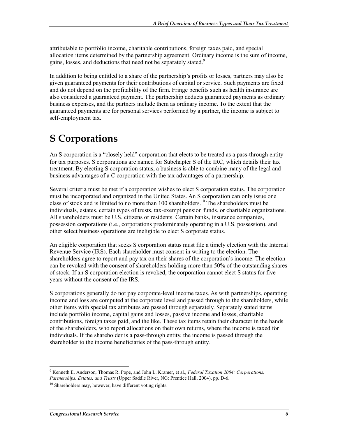attributable to portfolio income, charitable contributions, foreign taxes paid, and special allocation items determined by the partnership agreement. Ordinary income is the sum of income, gains, losses, and deductions that need not be separately stated.<sup>9</sup>

In addition to being entitled to a share of the partnership's profits or losses, partners may also be given guaranteed payments for their contributions of capital or service. Such payments are fixed and do not depend on the profitability of the firm. Fringe benefits such as health insurance are also considered a guaranteed payment. The partnership deducts guaranteed payments as ordinary business expenses, and the partners include them as ordinary income. To the extent that the guaranteed payments are for personal services performed by a partner, the income is subject to self-employment tax.

#### **S Corporations**

An S corporation is a "closely held" corporation that elects to be treated as a pass-through entity for tax purposes. S corporations are named for Subchapter S of the IRC, which details their tax treatment. By electing S corporation status, a business is able to combine many of the legal and business advantages of a C corporation with the tax advantages of a partnership.

Several criteria must be met if a corporation wishes to elect S corporation status. The corporation must be incorporated and organized in the United States. An S corporation can only issue one class of stock and is limited to no more than 100 shareholders.<sup>10</sup> The shareholders must be individuals, estates, certain types of trusts, tax-exempt pension funds, or charitable organizations. All shareholders must be U.S. citizens or residents. Certain banks, insurance companies, possession corporations (i.e., corporations predominately operating in a U.S. possession), and other select business operations are ineligible to elect S corporate status.

An eligible corporation that seeks S corporation status must file a timely election with the Internal Revenue Service (IRS). Each shareholder must consent in writing to the election. The shareholders agree to report and pay tax on their shares of the corporation's income. The election can be revoked with the consent of shareholders holding more than 50% of the outstanding shares of stock. If an S corporation election is revoked, the corporation cannot elect S status for five years without the consent of the IRS.

S corporations generally do not pay corporate-level income taxes. As with partnerships, operating income and loss are computed at the corporate level and passed through to the shareholders, while other items with special tax attributes are passed through separately. Separately stated items include portfolio income, capital gains and losses, passive income and losses, charitable contributions, foreign taxes paid, and the like. These tax items retain their character in the hands of the shareholders, who report allocations on their own returns, where the income is taxed for individuals. If the shareholder is a pass-through entity, the income is passed through the shareholder to the income beneficiaries of the pass-through entity.

<sup>9</sup> Kenneth E. Anderson, Thomas R. Pope, and John L. Kramer, et al., *Federal Taxation 2004: Corporations, Partnerships, Estates, and Trusts* (Upper Saddle River, NG: Prentice Hall, 2004), pp. D-6.

 $10$  Shareholders may, however, have different voting rights.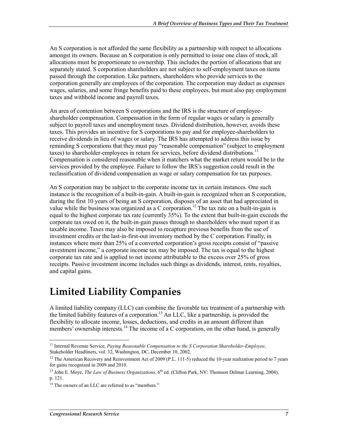An S corporation is not afforded the same flexibility as a partnership with respect to allocations amongst its owners. Because an S corporation is only permitted to issue one class of stock, all allocations must be proportionate to ownership. This includes the portion of allocations that are separately stated. S corporation shareholders are not subject to self-employment taxes on items passed through the corporation. Like partners, shareholders who provide services to the corporation generally are employees of the corporation. The corporation may deduct as expenses wages, salaries, and some fringe benefits paid to these employees, but must also pay employment taxes and withhold income and payroll taxes.

An area of contention between S corporations and the IRS is the structure of employeeshareholder compensation. Compensation in the form of regular wages or salary is generally subject to payroll taxes and unemployment taxes. Dividend distribution, however, avoids these taxes. This provides an incentive for S corporations to pay and for employee-shareholders to receive dividends in lieu of wages or salary. The IRS has attempted to address this issue by reminding S corporations that they must pay "reasonable compensation" (subject to employment taxes) to shareholder-employees in return for services, before dividend distributions.<sup>11</sup> Compensation is considered reasonable when it matchers what the market return would be to the services provided by the employee. Failure to follow the IRS's suggestion could result in the reclassification of dividend compensation as wage or salary compensation for tax purposes.

An S corporation may be subject to the corporate income tax in certain instances. One such instance is the recognition of a built-in-gain. A built-in-gain is recognized when an S corporation, during the first 10 years of being an S corporation, disposes of an asset that had appreciated in value while the business was organized as a C corporation.<sup>12</sup> The tax rate on a built-in-gain is equal to the highest corporate tax rate (currently 35%). To the extent that built-in-gain exceeds the corporate tax owed on it, the built-in-gain passes through to shareholders who must report it as taxable income. Taxes may also be imposed to recapture previous benefits from the use of investment credits or the last-in-first-out inventory method by the C corporation. Finally, in instances where more than 25% of a converted corporation's gross receipts consist of "passive investment income," a corporate income tax may be imposed. The tax is equal to the highest corporate tax rate and is applied to net income attributable to the excess over 25% of gross receipts. Passive investment income includes such things as dividends, interest, rents, royalties, and capital gains.

### **Limited Liability Companies**

A limited liability company (LLC) can combine the favorable tax treatment of a partnership with the limited liability features of a corporation.<sup>13</sup> An LLC, like a partnership, is provided the flexibility to allocate income, losses, deductions, and credits in an amount different than members' ownership interests.<sup>14</sup> The income of a C corporation, on the other hand, is generally

<sup>1</sup> 11 Internal Revenue Service, *Paying Reasonable Compensation to the S Corporation Shareholder-Employee*, Stakeholder Headliners, vol. 32, Washington, DC, December 10, 2002.

<sup>&</sup>lt;sup>12</sup> The American Recovery and Reinvestment Act of 2009 (P.L. 111-5) reduced the 10-year realization period to 7 years for gains recognized in 2009 and 2010.

<sup>&</sup>lt;sup>13</sup> John E. Moye, *The Law of Business Organizations*, 6<sup>th</sup> ed. (Clifton Park, NY: Thomson Delmar Learning, 2004), p. 121.

<sup>&</sup>lt;sup>14</sup> The owners of an LLC are referred to as "members."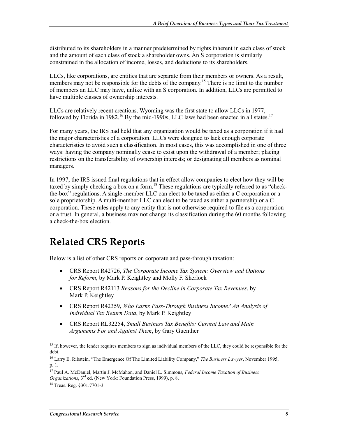distributed to its shareholders in a manner predetermined by rights inherent in each class of stock and the amount of each class of stock a shareholder owns. An S corporation is similarly constrained in the allocation of income, losses, and deductions to its shareholders.

LLCs, like corporations, are entities that are separate from their members or owners. As a result, members may not be responsible for the debts of the company.<sup>15</sup> There is no limit to the number of members an LLC may have, unlike with an S corporation. In addition, LLCs are permitted to have multiple classes of ownership interests.

LLCs are relatively recent creations. Wyoming was the first state to allow LLCs in 1977, followed by Florida in 1982.<sup>16</sup> By the mid-1990s, LLC laws had been enacted in all states.<sup>17</sup>

For many years, the IRS had held that any organization would be taxed as a corporation if it had the major characteristics of a corporation. LLCs were designed to lack enough corporate characteristics to avoid such a classification. In most cases, this was accomplished in one of three ways: having the company nominally cease to exist upon the withdrawal of a member; placing restrictions on the transferability of ownership interests; or designating all members as nominal managers.

In 1997, the IRS issued final regulations that in effect allow companies to elect how they will be taxed by simply checking a box on a form.<sup>18</sup> These regulations are typically referred to as "checkthe-box" regulations. A single-member LLC can elect to be taxed as either a C corporation or a sole proprietorship. A multi-member LLC can elect to be taxed as either a partnership or a C corporation. These rules apply to any entity that is not otherwise required to file as a corporation or a trust. In general, a business may not change its classification during the 60 months following a check-the-box election.

#### **Related CRS Reports**

Below is a list of other CRS reports on corporate and pass-through taxation:

- CRS Report R42726, *The Corporate Income Tax System: Overview and Options for Reform*, by Mark P. Keightley and Molly F. Sherlock
- CRS Report R42113 *Reasons for the Decline in Corporate Tax Revenues*, by Mark P. Keightley
- CRS Report R42359, *Who Earns Pass-Through Business Income? An Analysis of Individual Tax Return Data*, by Mark P. Keightley
- CRS Report RL32254, *Small Business Tax Benefits: Current Law and Main Arguments For and Against Them*, by Gary Guenther

<sup>&</sup>lt;sup>15</sup> If, however, the lender requires members to sign as individual members of the LLC, they could be responsible for the debt.

<sup>16</sup> Larry E. Ribstein, "The Emergence Of The Limited Liability Company," *The Business Lawyer*, November 1995, p. 1.

<sup>17</sup> Paul A. McDaniel, Martin J. McMahon, and Daniel L. Simmons, *Federal Income Taxation of Business Organizations*, 3rd ed. (New York: Foundation Press, 1999), p. 8.

<sup>18</sup> Treas. Reg. §301.7701-3.